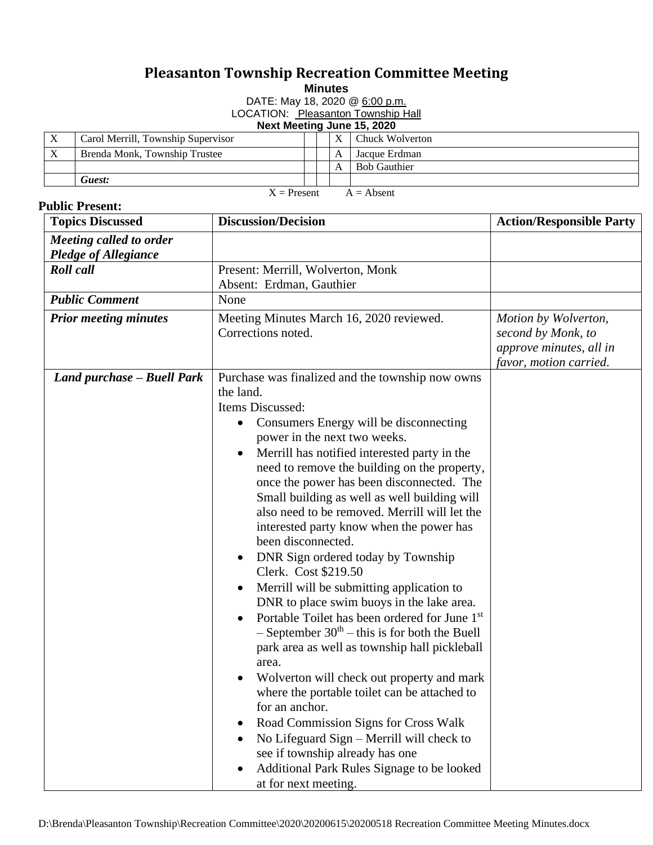## **Pleasanton Township Recreation Committee Meeting**

**Minutes**

DATE: May 18, 2020 @ 6:00 p.m.

LOCATION: Pleasanton Township Hall

**Next Meeting June 15, 2020**

|                               | Carol Merrill, Township Supervisor |  | X | Chuck Wolverton     |  |  |
|-------------------------------|------------------------------------|--|---|---------------------|--|--|
| $\boldsymbol{X}$              | Brenda Monk, Township Trustee      |  | А | Jacque Erdman       |  |  |
|                               |                                    |  | А | <b>Bob Gauthier</b> |  |  |
|                               | Guest:                             |  |   |                     |  |  |
| $X =$ Present<br>$A = Absent$ |                                    |  |   |                     |  |  |

## **Public Present:**

| <b>Topics Discussed</b>      | <b>Discussion/Decision</b>                                              | <b>Action/Responsible Party</b> |
|------------------------------|-------------------------------------------------------------------------|---------------------------------|
| Meeting called to order      |                                                                         |                                 |
| <b>Pledge of Allegiance</b>  |                                                                         |                                 |
| Roll call                    | Present: Merrill, Wolverton, Monk                                       |                                 |
|                              | Absent: Erdman, Gauthier                                                |                                 |
| <b>Public Comment</b>        | None                                                                    |                                 |
| <b>Prior meeting minutes</b> | Meeting Minutes March 16, 2020 reviewed.                                | Motion by Wolverton,            |
|                              | Corrections noted.                                                      | second by Monk, to              |
|                              |                                                                         | approve minutes, all in         |
|                              |                                                                         | favor, motion carried.          |
| Land purchase - Buell Park   | Purchase was finalized and the township now owns                        |                                 |
|                              | the land.                                                               |                                 |
|                              | Items Discussed:                                                        |                                 |
|                              | Consumers Energy will be disconnecting<br>$\bullet$                     |                                 |
|                              | power in the next two weeks.                                            |                                 |
|                              | Merrill has notified interested party in the<br>$\bullet$               |                                 |
|                              | need to remove the building on the property,                            |                                 |
|                              | once the power has been disconnected. The                               |                                 |
|                              | Small building as well as well building will                            |                                 |
|                              | also need to be removed. Merrill will let the                           |                                 |
|                              | interested party know when the power has                                |                                 |
|                              | been disconnected.                                                      |                                 |
|                              | DNR Sign ordered today by Township<br>$\bullet$<br>Clerk. Cost \$219.50 |                                 |
|                              | Merrill will be submitting application to<br>$\bullet$                  |                                 |
|                              | DNR to place swim buoys in the lake area.                               |                                 |
|                              | Portable Toilet has been ordered for June 1st<br>$\bullet$              |                                 |
|                              | $-$ September 30 <sup>th</sup> – this is for both the Buell             |                                 |
|                              | park area as well as township hall pickleball                           |                                 |
|                              | area.                                                                   |                                 |
|                              | Wolverton will check out property and mark                              |                                 |
|                              | where the portable toilet can be attached to                            |                                 |
|                              | for an anchor.                                                          |                                 |
|                              | Road Commission Signs for Cross Walk<br>$\bullet$                       |                                 |
|                              | No Lifeguard Sign - Merrill will check to                               |                                 |
|                              | see if township already has one                                         |                                 |
|                              | Additional Park Rules Signage to be looked                              |                                 |
|                              | at for next meeting.                                                    |                                 |